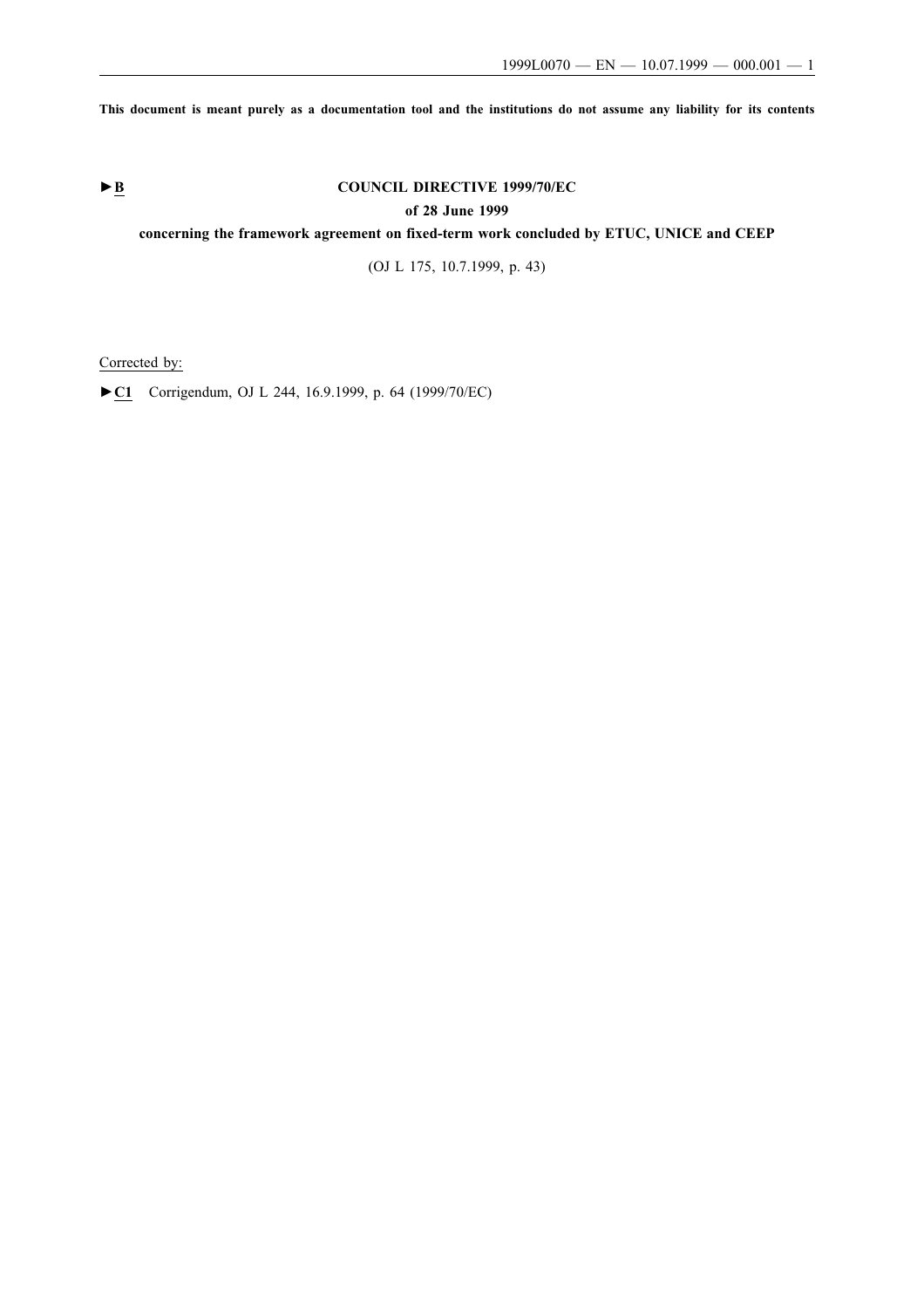**This document is meant purely as a documentation tool and the institutions do not assume any liability for its contents**

# **►B COUNCIL DIRECTIVE 1999/70/EC**

# **of 28 June 1999**

**concerning the framework agreement on fixed-term work concluded by ETUC, UNICE and CEEP**

(OJ L 175, 10.7.1999, p. 43)

Corrected by:

**►C1** Corrigendum, OJ L 244, 16.9.1999, p. 64 (1999/70/EC)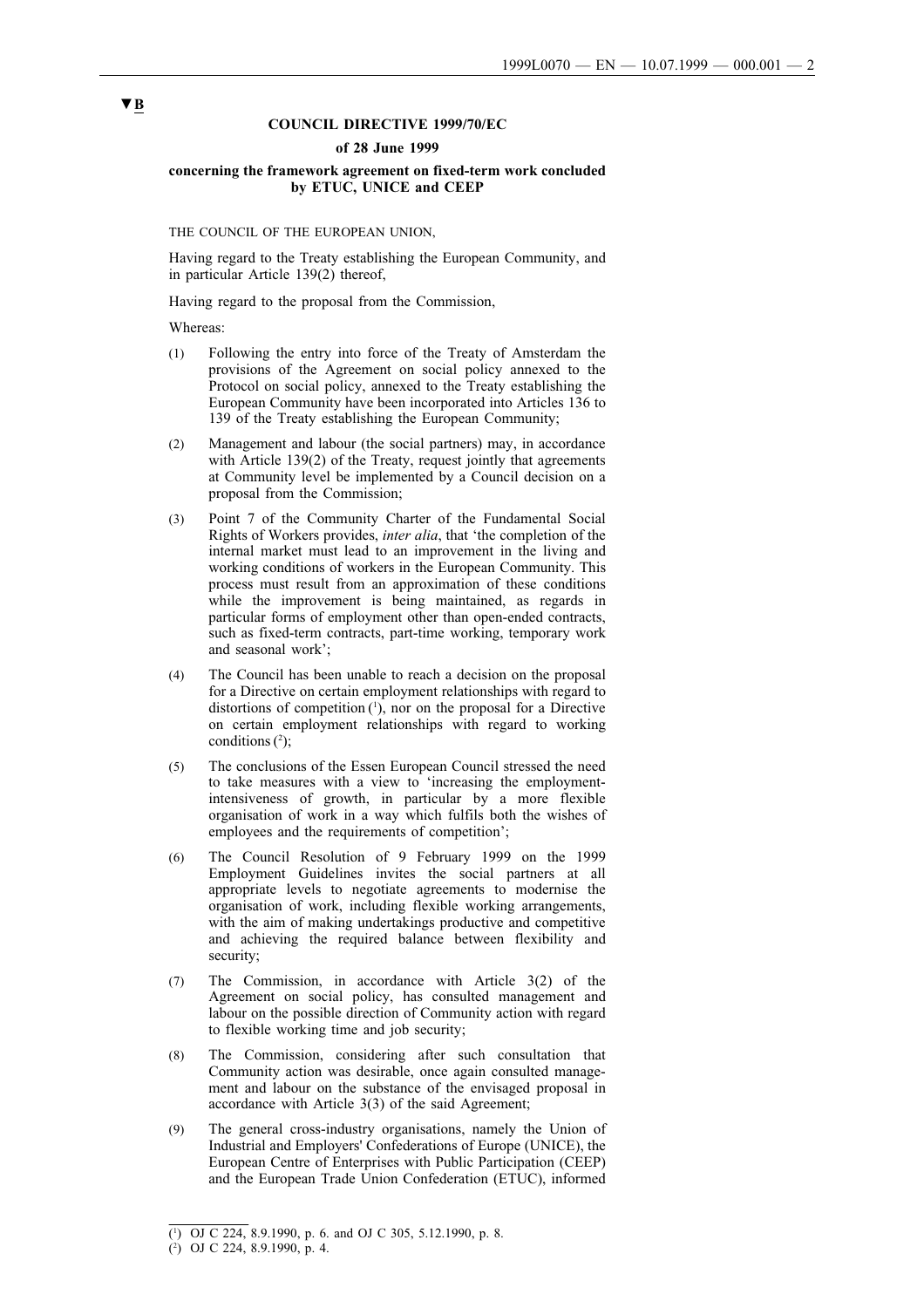## **COUNCIL DIRECTIVE 1999/70/EC**

## **of 28 June 1999**

## **concerning the framework agreement on fixed-term work concluded by ETUC, UNICE and CEEP**

# THE COUNCIL OF THE EUROPEAN UNION,

Having regard to the Treaty establishing the European Community, and in particular Article 139(2) thereof,

Having regard to the proposal from the Commission,

## Whereas:

- (1) Following the entry into force of the Treaty of Amsterdam the provisions of the Agreement on social policy annexed to the Protocol on social policy, annexed to the Treaty establishing the European Community have been incorporated into Articles 136 to 139 of the Treaty establishing the European Community;
- (2) Management and labour (the social partners) may, in accordance with Article 139(2) of the Treaty, request jointly that agreements at Community level be implemented by a Council decision on a proposal from the Commission;
- (3) Point 7 of the Community Charter of the Fundamental Social Rights of Workers provides, *inter alia*, that 'the completion of the internal market must lead to an improvement in the living and working conditions of workers in the European Community. This process must result from an approximation of these conditions while the improvement is being maintained, as regards in particular forms of employment other than open-ended contracts, such as fixed-term contracts, part-time working, temporary work and seasonal work';
- (4) The Council has been unable to reach a decision on the proposal for a Directive on certain employment relationships with regard to distortions of competition  $(1)$ , nor on the proposal for a Directive on certain employment relationships with regard to working conditions  $(2)$ ;
- (5) The conclusions of the Essen European Council stressed the need to take measures with a view to 'increasing the employmentintensiveness of growth, in particular by a more flexible organisation of work in a way which fulfils both the wishes of employees and the requirements of competition';
- (6) The Council Resolution of 9 February 1999 on the 1999 Employment Guidelines invites the social partners at all appropriate levels to negotiate agreements to modernise the organisation of work, including flexible working arrangements, with the aim of making undertakings productive and competitive and achieving the required balance between flexibility and security;
- (7) The Commission, in accordance with Article 3(2) of the Agreement on social policy, has consulted management and labour on the possible direction of Community action with regard to flexible working time and job security;
- (8) The Commission, considering after such consultation that Community action was desirable, once again consulted management and labour on the substance of the envisaged proposal in accordance with Article 3(3) of the said Agreement;
- (9) The general cross-industry organisations, namely the Union of Industrial and Employers' Confederations of Europe (UNICE), the European Centre of Enterprises with Public Participation (CEEP) and the European Trade Union Confederation (ETUC), informed

<sup>(</sup> 1 ) OJ C 224, 8.9.1990, p. 6. and OJ C 305, 5.12.1990, p. 8.

<sup>(</sup> 2 ) OJ C 224, 8.9.1990, p. 4.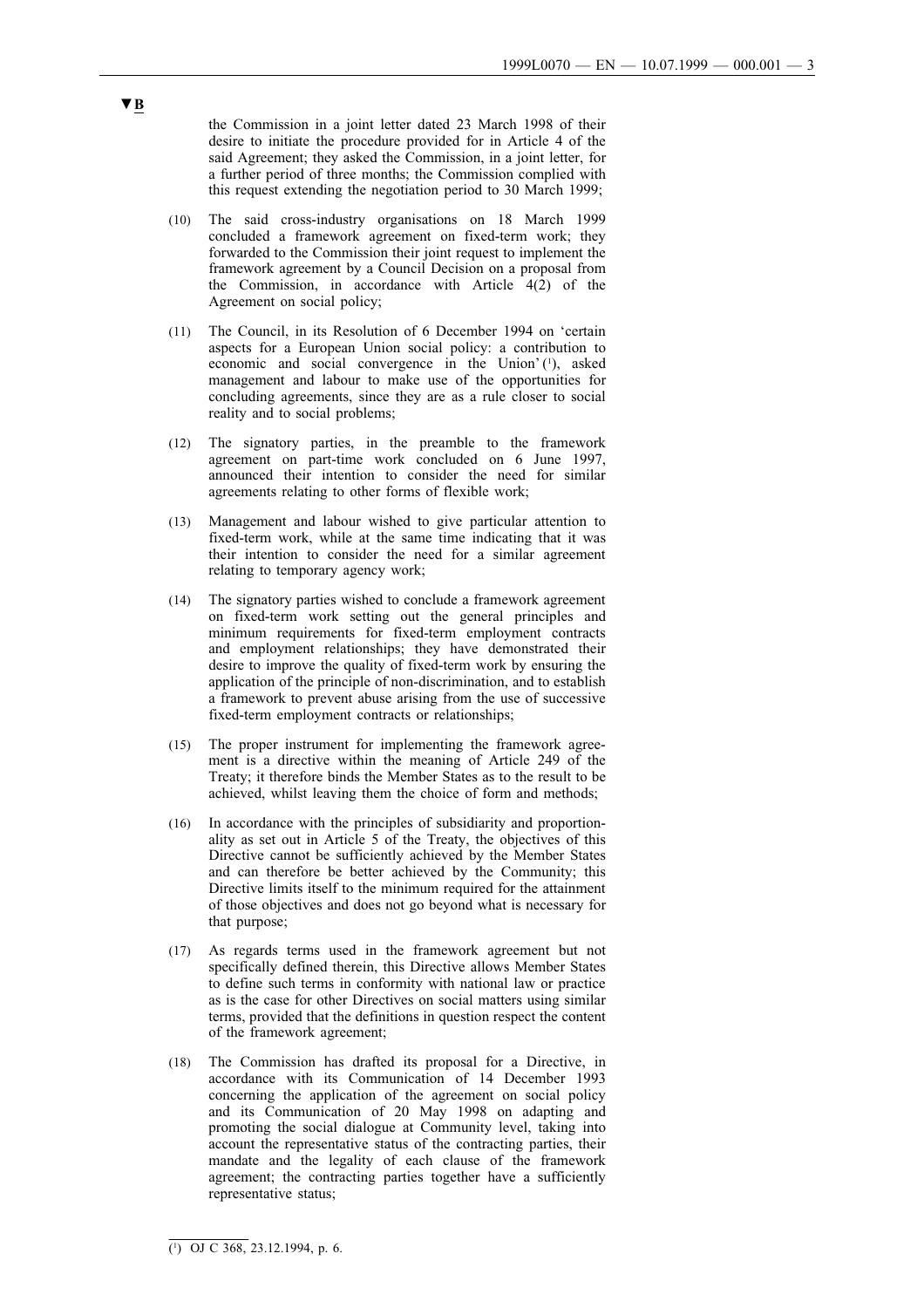the Commission in a joint letter dated 23 March 1998 of their desire to initiate the procedure provided for in Article 4 of the said Agreement; they asked the Commission, in a joint letter, for a further period of three months; the Commission complied with this request extending the negotiation period to 30 March 1999;

- (10) The said cross-industry organisations on 18 March 1999 concluded a framework agreement on fixed-term work; they forwarded to the Commission their joint request to implement the framework agreement by a Council Decision on a proposal from the Commission, in accordance with Article  $4(2)$  of the Agreement on social policy;
- (11) The Council, in its Resolution of 6 December 1994 on 'certain aspects for a European Union social policy: a contribution to economic and social convergence in the Union' (1), asked management and labour to make use of the opportunities for concluding agreements, since they are as a rule closer to social reality and to social problems;
- (12) The signatory parties, in the preamble to the framework agreement on part-time work concluded on 6 June 1997, announced their intention to consider the need for similar agreements relating to other forms of flexible work;
- (13) Management and labour wished to give particular attention to fixed-term work, while at the same time indicating that it was their intention to consider the need for a similar agreement relating to temporary agency work;
- (14) The signatory parties wished to conclude a framework agreement on fixed-term work setting out the general principles and minimum requirements for fixed-term employment contracts and employment relationships; they have demonstrated their desire to improve the quality of fixed-term work by ensuring the application of the principle of non-discrimination, and to establish a framework to prevent abuse arising from the use of successive fixed-term employment contracts or relationships;
- (15) The proper instrument for implementing the framework agreement is a directive within the meaning of Article 249 of the Treaty; it therefore binds the Member States as to the result to be achieved, whilst leaving them the choice of form and methods;
- (16) In accordance with the principles of subsidiarity and proportionality as set out in Article 5 of the Treaty, the objectives of this Directive cannot be sufficiently achieved by the Member States and can therefore be better achieved by the Community; this Directive limits itself to the minimum required for the attainment of those objectives and does not go beyond what is necessary for that purpose;
- (17) As regards terms used in the framework agreement but not specifically defined therein, this Directive allows Member States to define such terms in conformity with national law or practice as is the case for other Directives on social matters using similar terms, provided that the definitions in question respect the content of the framework agreement;
- (18) The Commission has drafted its proposal for a Directive, in accordance with its Communication of 14 December 1993 concerning the application of the agreement on social policy and its Communication of 20 May 1998 on adapting and promoting the social dialogue at Community level, taking into account the representative status of the contracting parties, their mandate and the legality of each clause of the framework agreement; the contracting parties together have a sufficiently representative status;

<sup>(</sup> 1 ) OJ C 368, 23.12.1994, p. 6.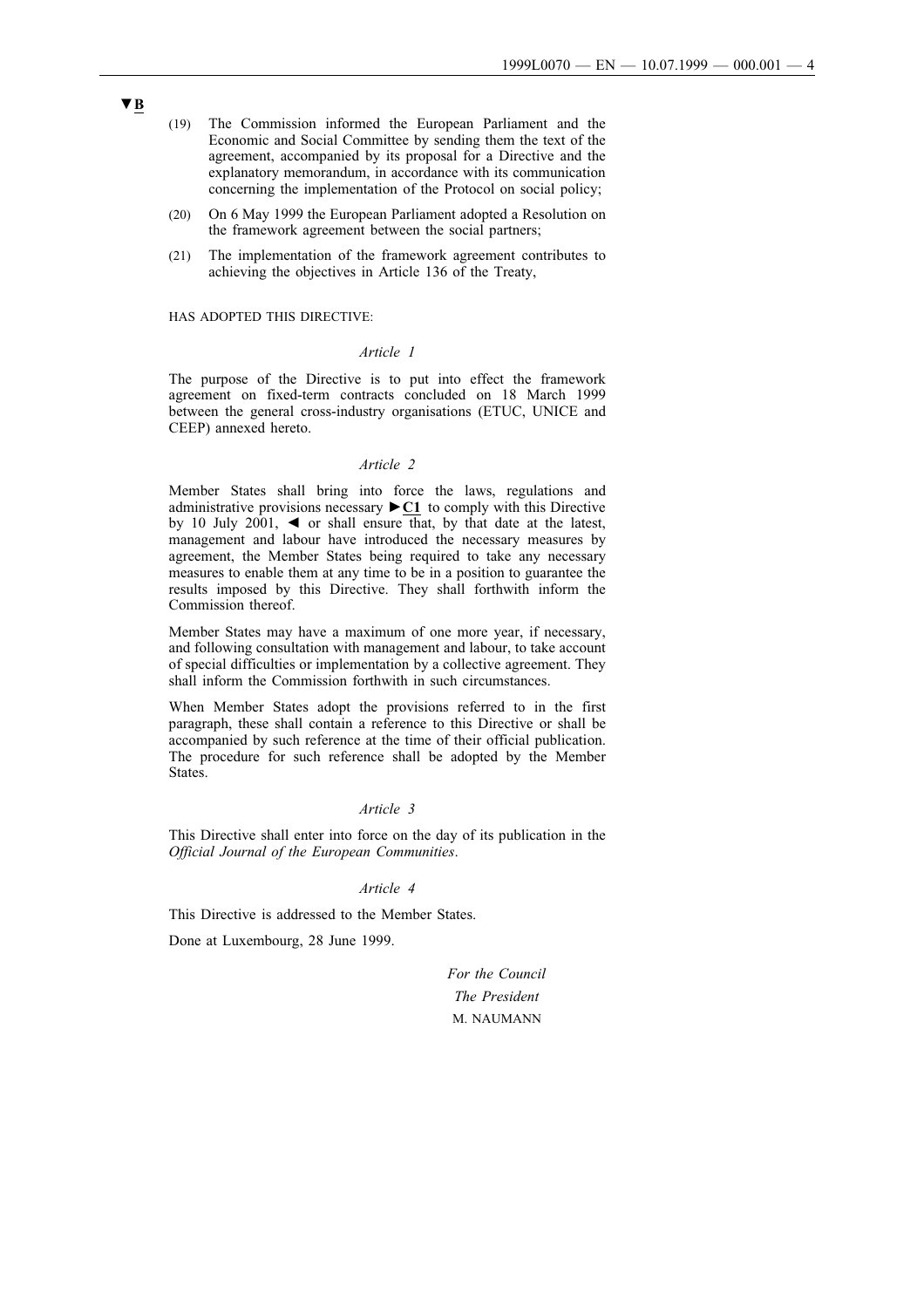- (19) The Commission informed the European Parliament and the Economic and Social Committee by sending them the text of the agreement, accompanied by its proposal for a Directive and the explanatory memorandum, in accordance with its communication concerning the implementation of the Protocol on social policy;
- (20) On 6 May 1999 the European Parliament adopted a Resolution on the framework agreement between the social partners;
- (21) The implementation of the framework agreement contributes to achieving the objectives in Article 136 of the Treaty,

HAS ADOPTED THIS DIRECTIVE:

## *Article 1*

The purpose of the Directive is to put into effect the framework agreement on fixed-term contracts concluded on 18 March 1999 between the general cross-industry organisations (ETUC, UNICE and CEEP) annexed hereto.

# *Article 2*

Member States shall bring into force the laws, regulations and administrative provisions necessary ►**C1** to comply with this Directive by 10 July 2001,  $\blacktriangleleft$  or shall ensure that, by that date at the latest, management and labour have introduced the necessary measures by agreement, the Member States being required to take any necessary measures to enable them at any time to be in a position to guarantee the results imposed by this Directive. They shall forthwith inform the Commission thereof.

Member States may have a maximum of one more year, if necessary, and following consultation with management and labour, to take account of special difficulties or implementation by a collective agreement. They shall inform the Commission forthwith in such circumstances.

When Member States adopt the provisions referred to in the first paragraph, these shall contain a reference to this Directive or shall be accompanied by such reference at the time of their official publication. The procedure for such reference shall be adopted by the Member States.

## *Article 3*

This Directive shall enter into force on the day of its publication in the *Official Journal of the European Communities*.

### *Article 4*

This Directive is addressed to the Member States.

Done at Luxembourg, 28 June 1999.

*For the Council The President* M. NAUMANN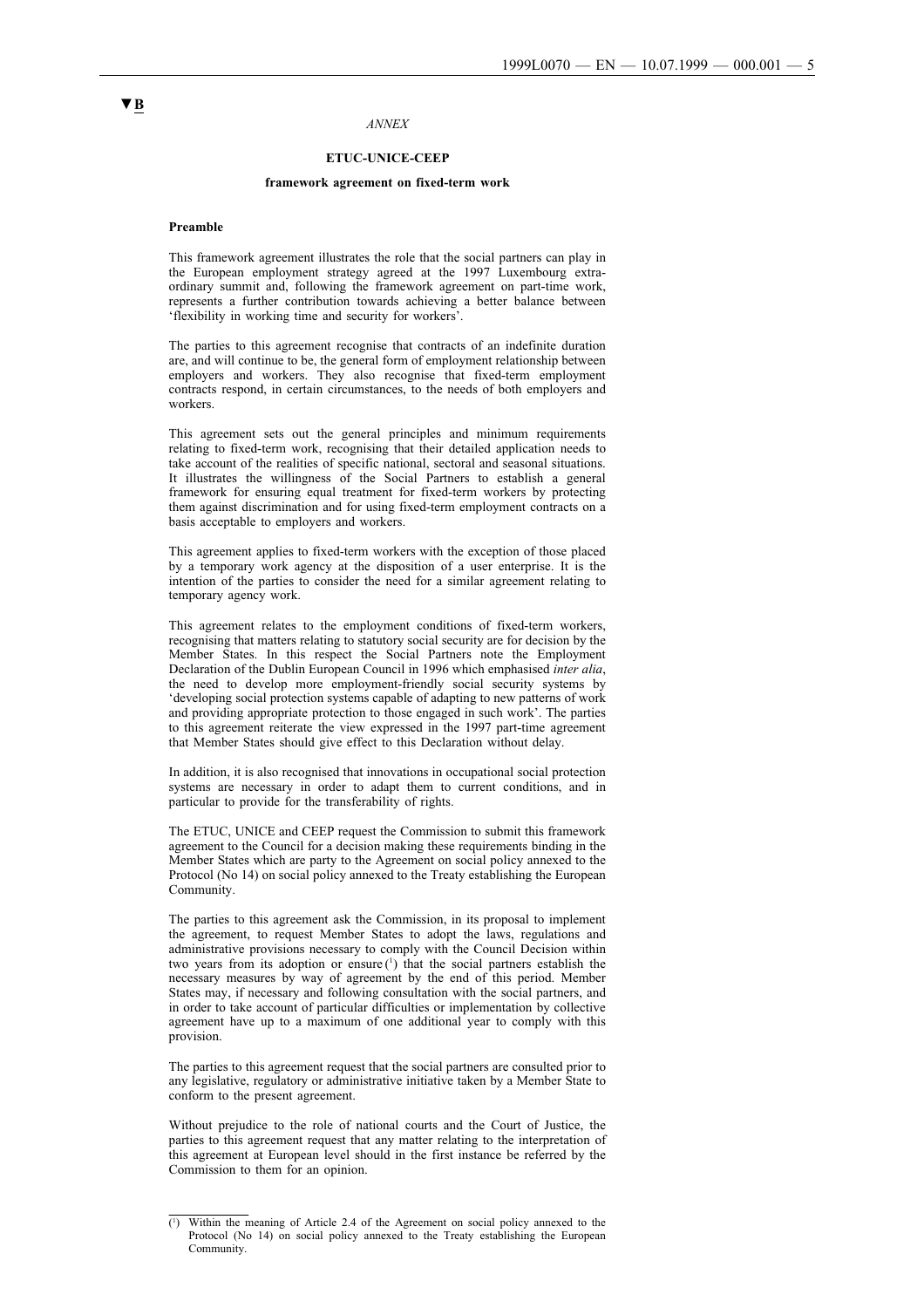#### *ANNEX*

# **ETUC-UNICE-CEEP**

### **framework agreement on fixed-term work**

## **Preamble**

This framework agreement illustrates the role that the social partners can play in the European employment strategy agreed at the 1997 Luxembourg extraordinary summit and, following the framework agreement on part-time work, represents a further contribution towards achieving a better balance between 'flexibility in working time and security for workers'.

The parties to this agreement recognise that contracts of an indefinite duration are, and will continue to be, the general form of employment relationship between employers and workers. They also recognise that fixed-term employment contracts respond, in certain circumstances, to the needs of both employers and workers.

This agreement sets out the general principles and minimum requirements relating to fixed-term work, recognising that their detailed application needs to take account of the realities of specific national, sectoral and seasonal situations. It illustrates the willingness of the Social Partners to establish a general framework for ensuring equal treatment for fixed-term workers by protecting them against discrimination and for using fixed-term employment contracts on a basis acceptable to employers and workers.

This agreement applies to fixed-term workers with the exception of those placed by a temporary work agency at the disposition of a user enterprise. It is the intention of the parties to consider the need for a similar agreement relating to temporary agency work.

This agreement relates to the employment conditions of fixed-term workers, recognising that matters relating to statutory social security are for decision by the Member States. In this respect the Social Partners note the Employment Declaration of the Dublin European Council in 1996 which emphasised *inter alia*, the need to develop more employment-friendly social security systems by 'developing social protection systems capable of adapting to new patterns of work and providing appropriate protection to those engaged in such work'. The parties to this agreement reiterate the view expressed in the 1997 part-time agreement that Member States should give effect to this Declaration without delay.

In addition, it is also recognised that innovations in occupational social protection systems are necessary in order to adapt them to current conditions, and in particular to provide for the transferability of rights.

The ETUC, UNICE and CEEP request the Commission to submit this framework agreement to the Council for a decision making these requirements binding in the Member States which are party to the Agreement on social policy annexed to the Protocol (No 14) on social policy annexed to the Treaty establishing the European Community.

The parties to this agreement ask the Commission, in its proposal to implement the agreement, to request Member States to adopt the laws, regulations and administrative provisions necessary to comply with the Council Decision within two years from its adoption or ensure  $(1)$  that the social partners establish the necessary measures by way of agreement by the end of this period. Member States may, if necessary and following consultation with the social partners, and in order to take account of particular difficulties or implementation by collective agreement have up to a maximum of one additional year to comply with this provision.

The parties to this agreement request that the social partners are consulted prior to any legislative, regulatory or administrative initiative taken by a Member State to conform to the present agreement.

Without prejudice to the role of national courts and the Court of Justice, the parties to this agreement request that any matter relating to the interpretation of this agreement at European level should in the first instance be referred by the Commission to them for an opinion.

 $(^{1}$ ) Within the meaning of Article 2.4 of the Agreement on social policy annexed to the Protocol (No 14) on social policy annexed to the Treaty establishing the European Community.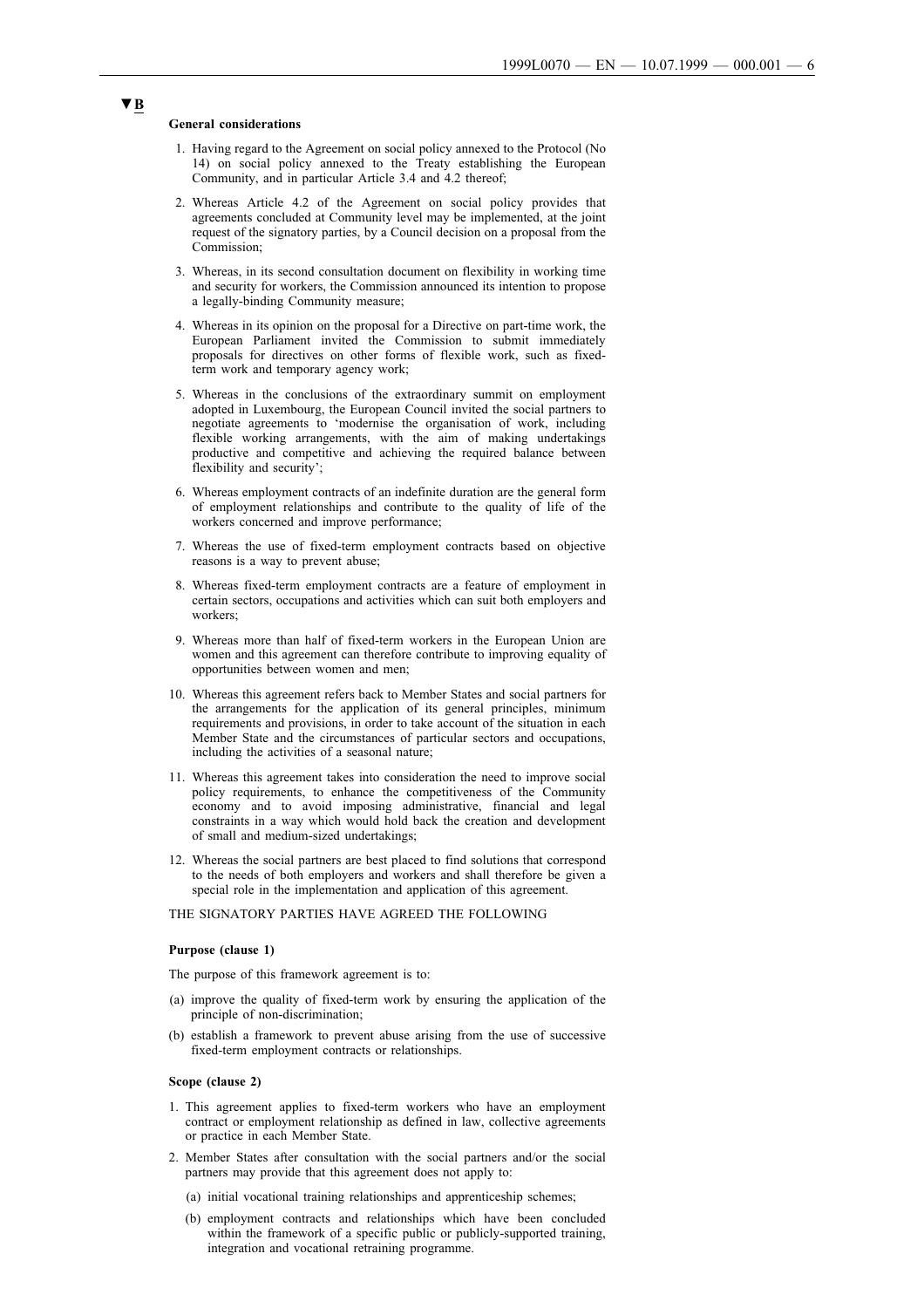#### **General considerations**

- 1. Having regard to the Agreement on social policy annexed to the Protocol (No 14) on social policy annexed to the Treaty establishing the European Community, and in particular Article 3.4 and 4.2 thereof;
- 2. Whereas Article 4.2 of the Agreement on social policy provides that agreements concluded at Community level may be implemented, at the joint request of the signatory parties, by a Council decision on a proposal from the Commission;
- 3. Whereas, in its second consultation document on flexibility in working time and security for workers, the Commission announced its intention to propose a legally-binding Community measure;
- 4. Whereas in its opinion on the proposal for a Directive on part-time work, the European Parliament invited the Commission to submit immediately proposals for directives on other forms of flexible work, such as fixedterm work and temporary agency work;
- 5. Whereas in the conclusions of the extraordinary summit on employment adopted in Luxembourg, the European Council invited the social partners to negotiate agreements to 'modernise the organisation of work, including flexible working arrangements, with the aim of making undertakings productive and competitive and achieving the required balance between flexibility and security';
- 6. Whereas employment contracts of an indefinite duration are the general form of employment relationships and contribute to the quality of life of the workers concerned and improve performance;
- 7. Whereas the use of fixed-term employment contracts based on objective reasons is a way to prevent abuse;
- 8. Whereas fixed-term employment contracts are a feature of employment in certain sectors, occupations and activities which can suit both employers and workers;
- 9. Whereas more than half of fixed-term workers in the European Union are women and this agreement can therefore contribute to improving equality of opportunities between women and men;
- 10. Whereas this agreement refers back to Member States and social partners for the arrangements for the application of its general principles, minimum requirements and provisions, in order to take account of the situation in each Member State and the circumstances of particular sectors and occupations, including the activities of a seasonal nature;
- 11. Whereas this agreement takes into consideration the need to improve social policy requirements, to enhance the competitiveness of the Community economy and to avoid imposing administrative, financial and legal constraints in a way which would hold back the creation and development of small and medium-sized undertakings;
- 12. Whereas the social partners are best placed to find solutions that correspond to the needs of both employers and workers and shall therefore be given a special role in the implementation and application of this agreement.

#### THE SIGNATORY PARTIES HAVE AGREED THE FOLLOWING

#### **Purpose (clause 1)**

The purpose of this framework agreement is to:

- (a) improve the quality of fixed-term work by ensuring the application of the principle of non-discrimination;
- (b) establish a framework to prevent abuse arising from the use of successive fixed-term employment contracts or relationships.

#### **Scope (clause 2)**

- 1. This agreement applies to fixed-term workers who have an employment contract or employment relationship as defined in law, collective agreements or practice in each Member State.
- 2. Member States after consultation with the social partners and/or the social partners may provide that this agreement does not apply to:
	- (a) initial vocational training relationships and apprenticeship schemes;
	- (b) employment contracts and relationships which have been concluded within the framework of a specific public or publicly-supported training, integration and vocational retraining programme.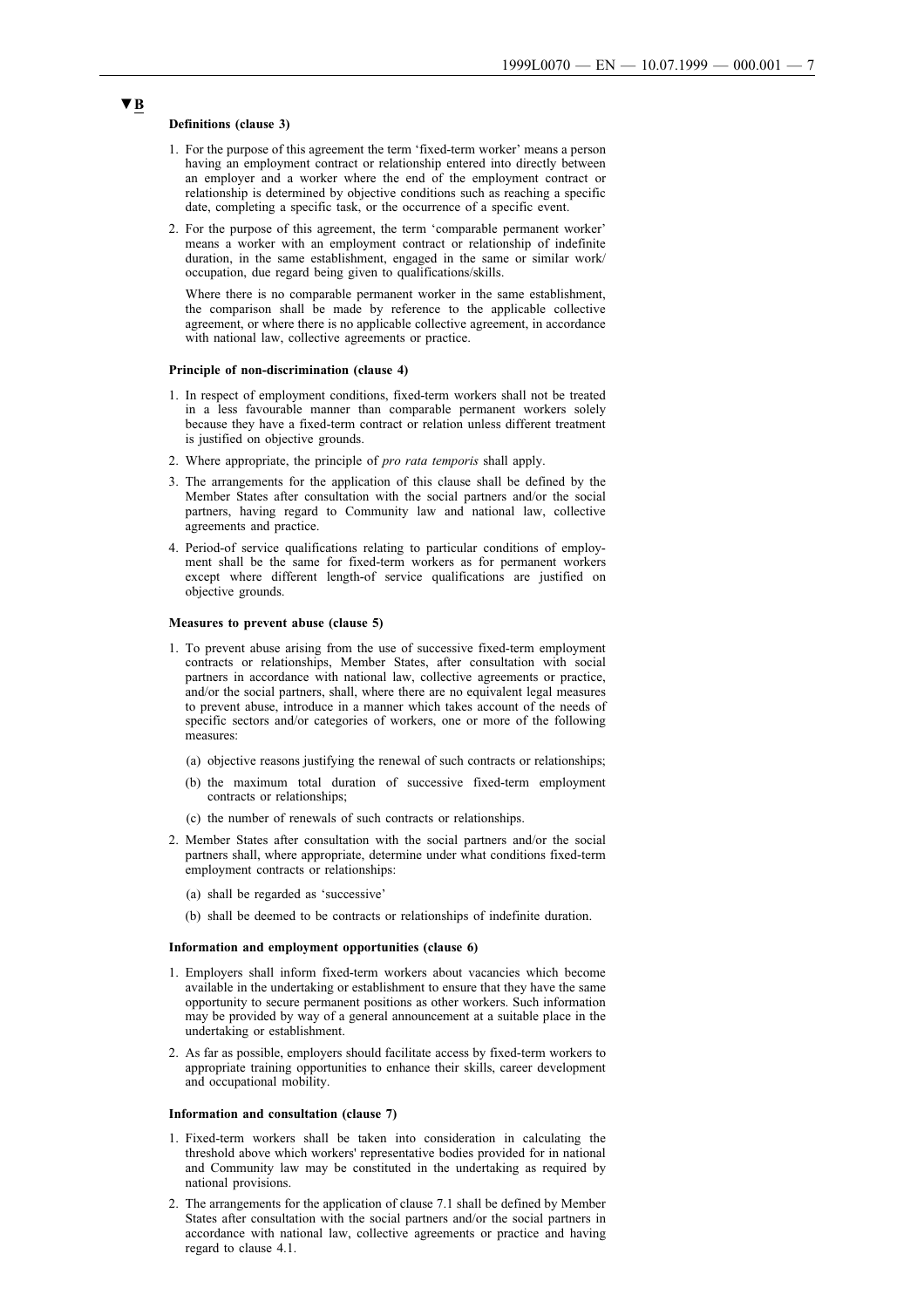#### **Definitions (clause 3)**

- 1. For the purpose of this agreement the term 'fixed-term worker' means a person having an employment contract or relationship entered into directly between an employer and a worker where the end of the employment contract or relationship is determined by objective conditions such as reaching a specific date, completing a specific task, or the occurrence of a specific event.
- 2. For the purpose of this agreement, the term 'comparable permanent worker' means a worker with an employment contract or relationship of indefinite duration, in the same establishment, engaged in the same or similar work/ occupation, due regard being given to qualifications/skills.

Where there is no comparable permanent worker in the same establishment, the comparison shall be made by reference to the applicable collective agreement, or where there is no applicable collective agreement, in accordance with national law, collective agreements or practice.

#### **Principle of non-discrimination (clause 4)**

- 1. In respect of employment conditions, fixed-term workers shall not be treated in a less favourable manner than comparable permanent workers solely because they have a fixed-term contract or relation unless different treatment is justified on objective grounds.
- 2. Where appropriate, the principle of *pro rata temporis* shall apply.
- 3. The arrangements for the application of this clause shall be defined by the Member States after consultation with the social partners and/or the social partners, having regard to Community law and national law, collective agreements and practice.
- 4. Period-of service qualifications relating to particular conditions of employment shall be the same for fixed-term workers as for permanent workers except where different length-of service qualifications are justified on objective grounds.

#### **Measures to prevent abuse (clause 5)**

- 1. To prevent abuse arising from the use of successive fixed-term employment contracts or relationships, Member States, after consultation with social partners in accordance with national law, collective agreements or practice, and/or the social partners, shall, where there are no equivalent legal measures to prevent abuse, introduce in a manner which takes account of the needs of specific sectors and/or categories of workers, one or more of the following measures:
	- (a) objective reasons justifying the renewal of such contracts or relationships;
	- (b) the maximum total duration of successive fixed-term employment contracts or relationships;
	- (c) the number of renewals of such contracts or relationships.
- 2. Member States after consultation with the social partners and/or the social partners shall, where appropriate, determine under what conditions fixed-term employment contracts or relationships:
	- (a) shall be regarded as 'successive'
	- (b) shall be deemed to be contracts or relationships of indefinite duration.

#### **Information and employment opportunities (clause 6)**

- 1. Employers shall inform fixed-term workers about vacancies which become available in the undertaking or establishment to ensure that they have the same opportunity to secure permanent positions as other workers. Such information may be provided by way of a general announcement at a suitable place in the undertaking or establishment.
- 2. As far as possible, employers should facilitate access by fixed-term workers to appropriate training opportunities to enhance their skills, career development and occupational mobility.

#### **Information and consultation (clause 7)**

- 1. Fixed-term workers shall be taken into consideration in calculating the threshold above which workers' representative bodies provided for in national and Community law may be constituted in the undertaking as required by national provisions.
- 2. The arrangements for the application of clause 7.1 shall be defined by Member States after consultation with the social partners and/or the social partners in accordance with national law, collective agreements or practice and having regard to clause 4.1.